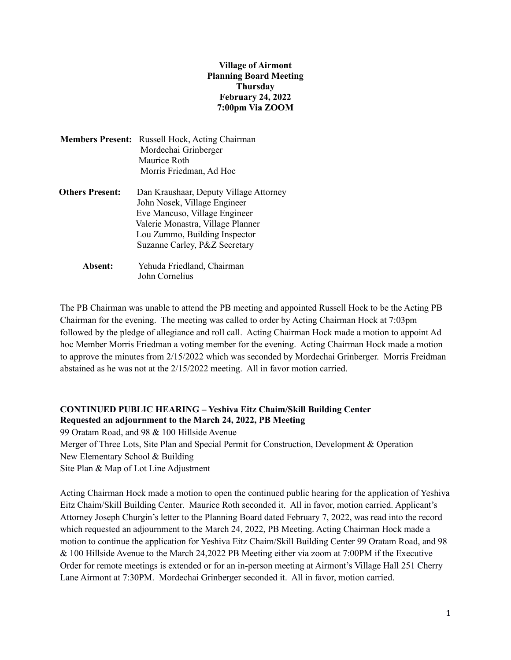## **Village of Airmont Planning Board Meeting Thursday February 24, 2022 7:00pm Via ZOOM**

| <b>Members Present:</b> | Russell Hock, Acting Chairman<br>Mordechai Grinberger<br>Maurice Roth<br>Morris Friedman, Ad Hoc                                                                                                               |
|-------------------------|----------------------------------------------------------------------------------------------------------------------------------------------------------------------------------------------------------------|
| <b>Others Present:</b>  | Dan Kraushaar, Deputy Village Attorney<br>John Nosek, Village Engineer<br>Eve Mancuso, Village Engineer<br>Valerie Monastra, Village Planner<br>Lou Zummo, Building Inspector<br>Suzanne Carley, P&Z Secretary |
| Absent:                 | Yehuda Friedland, Chairman                                                                                                                                                                                     |

John Cornelius

The PB Chairman was unable to attend the PB meeting and appointed Russell Hock to be the Acting PB Chairman for the evening. The meeting was called to order by Acting Chairman Hock at 7:03pm followed by the pledge of allegiance and roll call. Acting Chairman Hock made a motion to appoint Ad hoc Member Morris Friedman a voting member for the evening. Acting Chairman Hock made a motion to approve the minutes from 2/15/2022 which was seconded by Mordechai Grinberger. Morris Freidman abstained as he was not at the 2/15/2022 meeting. All in favor motion carried.

## **CONTINUED PUBLIC HEARING – Yeshiva Eitz Chaim/Skill Building Center Requested an adjournment to the March 24, 2022, PB Meeting**

99 Oratam Road, and 98 & 100 Hillside Avenue Merger of Three Lots, Site Plan and Special Permit for Construction, Development & Operation New Elementary School & Building Site Plan & Map of Lot Line Adjustment

Acting Chairman Hock made a motion to open the continued public hearing for the application of Yeshiva Eitz Chaim/Skill Building Center. Maurice Roth seconded it. All in favor, motion carried. Applicant's Attorney Joseph Churgin's letter to the Planning Board dated February 7, 2022, was read into the record which requested an adjournment to the March 24, 2022, PB Meeting. Acting Chairman Hock made a motion to continue the application for Yeshiva Eitz Chaim/Skill Building Center 99 Oratam Road, and 98 & 100 Hillside Avenue to the March 24,2022 PB Meeting either via zoom at 7:00PM if the Executive Order for remote meetings is extended or for an in-person meeting at Airmont's Village Hall 251 Cherry Lane Airmont at 7:30PM. Mordechai Grinberger seconded it. All in favor, motion carried.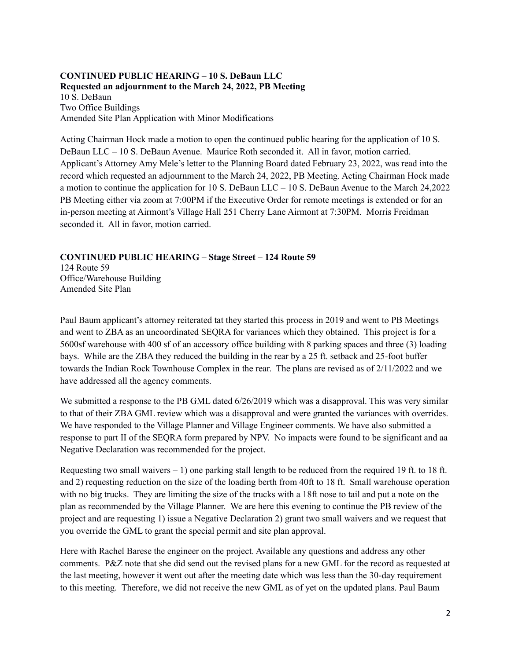## **CONTINUED PUBLIC HEARING – 10 S. DeBaun LLC Requested an adjournment to the March 24, 2022, PB Meeting** 10 S. DeBaun Two Office Buildings Amended Site Plan Application with Minor Modifications

Acting Chairman Hock made a motion to open the continued public hearing for the application of 10 S. DeBaun LLC – 10 S. DeBaun Avenue. Maurice Roth seconded it. All in favor, motion carried. Applicant's Attorney Amy Mele's letter to the Planning Board dated February 23, 2022, was read into the record which requested an adjournment to the March 24, 2022, PB Meeting. Acting Chairman Hock made a motion to continue the application for 10 S. DeBaun LLC – 10 S. DeBaun Avenue to the March 24,2022 PB Meeting either via zoom at 7:00PM if the Executive Order for remote meetings is extended or for an in-person meeting at Airmont's Village Hall 251 Cherry Lane Airmont at 7:30PM. Morris Freidman seconded it. All in favor, motion carried.

## **CONTINUED PUBLIC HEARING – Stage Street – 124 Route 59**

124 Route 59 Office/Warehouse Building Amended Site Plan

Paul Baum applicant's attorney reiterated tat they started this process in 2019 and went to PB Meetings and went to ZBA as an uncoordinated SEQRA for variances which they obtained. This project is for a 5600sf warehouse with 400 sf of an accessory office building with 8 parking spaces and three (3) loading bays. While are the ZBA they reduced the building in the rear by a 25 ft. setback and 25-foot buffer towards the Indian Rock Townhouse Complex in the rear. The plans are revised as of 2/11/2022 and we have addressed all the agency comments.

We submitted a response to the PB GML dated  $6/26/2019$  which was a disapproval. This was very similar to that of their ZBA GML review which was a disapproval and were granted the variances with overrides. We have responded to the Village Planner and Village Engineer comments. We have also submitted a response to part II of the SEQRA form prepared by NPV. No impacts were found to be significant and aa Negative Declaration was recommended for the project.

Requesting two small waivers  $-1$ ) one parking stall length to be reduced from the required 19 ft. to 18 ft. and 2) requesting reduction on the size of the loading berth from 40ft to 18 ft. Small warehouse operation with no big trucks. They are limiting the size of the trucks with a 18ft nose to tail and put a note on the plan as recommended by the Village Planner. We are here this evening to continue the PB review of the project and are requesting 1) issue a Negative Declaration 2) grant two small waivers and we request that you override the GML to grant the special permit and site plan approval.

Here with Rachel Barese the engineer on the project. Available any questions and address any other comments. P&Z note that she did send out the revised plans for a new GML for the record as requested at the last meeting, however it went out after the meeting date which was less than the 30-day requirement to this meeting. Therefore, we did not receive the new GML as of yet on the updated plans. Paul Baum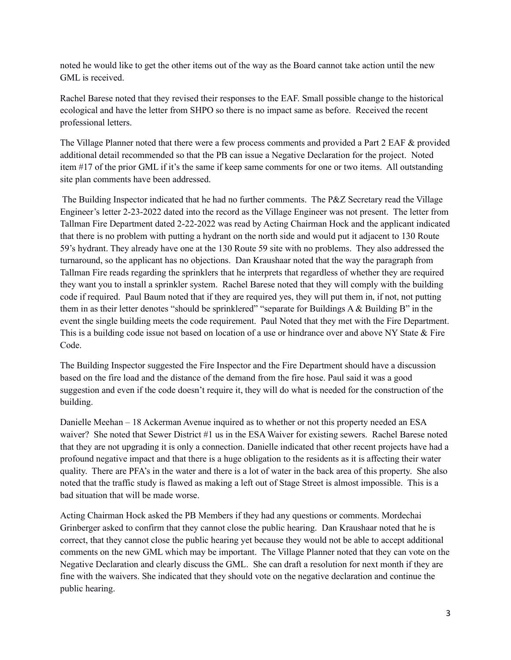noted he would like to get the other items out of the way as the Board cannot take action until the new GML is received.

Rachel Barese noted that they revised their responses to the EAF. Small possible change to the historical ecological and have the letter from SHPO so there is no impact same as before. Received the recent professional letters.

The Village Planner noted that there were a few process comments and provided a Part 2 EAF & provided additional detail recommended so that the PB can issue a Negative Declaration for the project. Noted item #17 of the prior GML if it's the same if keep same comments for one or two items. All outstanding site plan comments have been addressed.

The Building Inspector indicated that he had no further comments. The P&Z Secretary read the Village Engineer's letter 2-23-2022 dated into the record as the Village Engineer was not present. The letter from Tallman Fire Department dated 2-22-2022 was read by Acting Chairman Hock and the applicant indicated that there is no problem with putting a hydrant on the north side and would put it adjacent to 130 Route 59's hydrant. They already have one at the 130 Route 59 site with no problems. They also addressed the turnaround, so the applicant has no objections. Dan Kraushaar noted that the way the paragraph from Tallman Fire reads regarding the sprinklers that he interprets that regardless of whether they are required they want you to install a sprinkler system. Rachel Barese noted that they will comply with the building code if required. Paul Baum noted that if they are required yes, they will put them in, if not, not putting them in as their letter denotes "should be sprinklered" "separate for Buildings A & Building B" in the event the single building meets the code requirement. Paul Noted that they met with the Fire Department. This is a building code issue not based on location of a use or hindrance over and above NY State & Fire Code.

The Building Inspector suggested the Fire Inspector and the Fire Department should have a discussion based on the fire load and the distance of the demand from the fire hose. Paul said it was a good suggestion and even if the code doesn't require it, they will do what is needed for the construction of the building.

Danielle Meehan – 18 Ackerman Avenue inquired as to whether or not this property needed an ESA waiver? She noted that Sewer District #1 us in the ESA Waiver for existing sewers. Rachel Barese noted that they are not upgrading it is only a connection. Danielle indicated that other recent projects have had a profound negative impact and that there is a huge obligation to the residents as it is affecting their water quality. There are PFA's in the water and there is a lot of water in the back area of this property. She also noted that the traffic study is flawed as making a left out of Stage Street is almost impossible. This is a bad situation that will be made worse.

Acting Chairman Hock asked the PB Members if they had any questions or comments. Mordechai Grinberger asked to confirm that they cannot close the public hearing. Dan Kraushaar noted that he is correct, that they cannot close the public hearing yet because they would not be able to accept additional comments on the new GML which may be important. The Village Planner noted that they can vote on the Negative Declaration and clearly discuss the GML. She can draft a resolution for next month if they are fine with the waivers. She indicated that they should vote on the negative declaration and continue the public hearing.